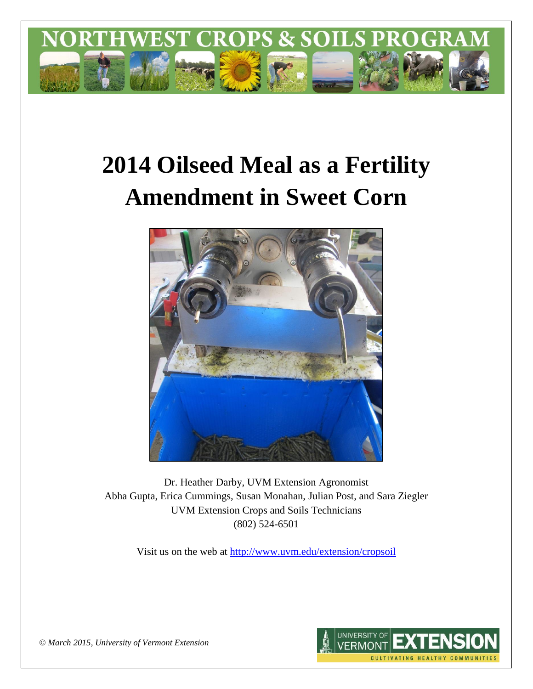

# **2014 Oilseed Meal as a Fertility Amendment in Sweet Corn**



Dr. Heather Darby, UVM Extension Agronomist Abha Gupta, Erica Cummings, Susan Monahan, Julian Post, and Sara Ziegler UVM Extension Crops and Soils Technicians (802) 524-6501

Visit us on the web at <http://www.uvm.edu/extension/cropsoil>



*© March 2015, University of Vermont Extension*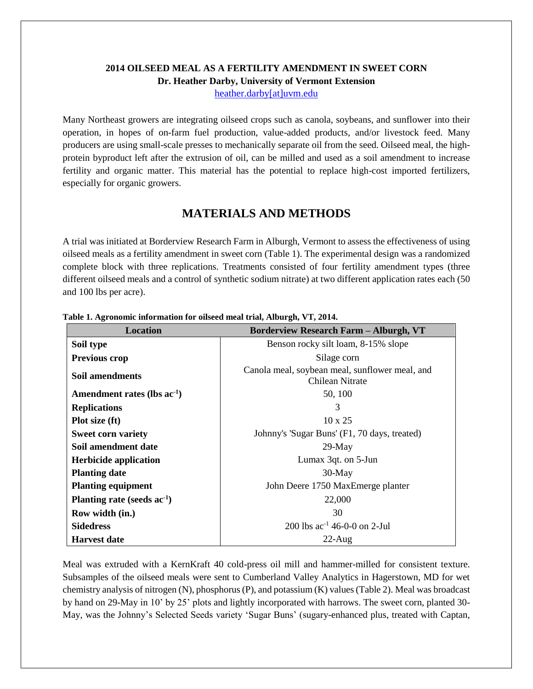# **2014 OILSEED MEAL AS A FERTILITY AMENDMENT IN SWEET CORN Dr. Heather Darby, University of Vermont Extension**

[heather.darby\[at\]uvm.edu](mailto:heather.darby@uvm.edu?subject=2013%20Oilseed%20Meal%20and%20Sweet%20Corn)

Many Northeast growers are integrating oilseed crops such as canola, soybeans, and sunflower into their operation, in hopes of on-farm fuel production, value-added products, and/or livestock feed. Many producers are using small-scale presses to mechanically separate oil from the seed. Oilseed meal, the highprotein byproduct left after the extrusion of oil, can be milled and used as a soil amendment to increase fertility and organic matter. This material has the potential to replace high-cost imported fertilizers, especially for organic growers.

# **MATERIALS AND METHODS**

A trial was initiated at Borderview Research Farm in Alburgh, Vermont to assess the effectiveness of using oilseed meals as a fertility amendment in sweet corn (Table 1). The experimental design was a randomized complete block with three replications. Treatments consisted of four fertility amendment types (three different oilseed meals and a control of synthetic sodium nitrate) at two different application rates each (50 and 100 lbs per acre).

| <b>Location</b>                         | <b>Borderview Research Farm - Alburgh, VT</b>                     |  |  |  |  |  |
|-----------------------------------------|-------------------------------------------------------------------|--|--|--|--|--|
| Soil type                               | Benson rocky silt loam, 8-15% slope                               |  |  |  |  |  |
| <b>Previous crop</b>                    | Silage corn                                                       |  |  |  |  |  |
| Soil amendments                         | Canola meal, soybean meal, sunflower meal, and<br>Chilean Nitrate |  |  |  |  |  |
| Amendment rates (lbs ac <sup>-1</sup> ) | 50, 100                                                           |  |  |  |  |  |
| <b>Replications</b>                     | 3                                                                 |  |  |  |  |  |
| Plot size (ft)                          | $10 \times 25$                                                    |  |  |  |  |  |
| <b>Sweet corn variety</b>               | Johnny's 'Sugar Buns' (F1, 70 days, treated)                      |  |  |  |  |  |
| Soil amendment date                     | $29$ -May                                                         |  |  |  |  |  |
| <b>Herbicide application</b>            | Lumax 3qt. on 5-Jun                                               |  |  |  |  |  |
| <b>Planting date</b>                    | $30-May$                                                          |  |  |  |  |  |
| <b>Planting equipment</b>               | John Deere 1750 MaxEmerge planter                                 |  |  |  |  |  |
| Planting rate (seeds $ac^{-1}$ )        | 22,000                                                            |  |  |  |  |  |
| Row width (in.)                         | 30                                                                |  |  |  |  |  |
| <b>Sidedress</b>                        | 200 lbs $ac^{-1}$ 46-0-0 on 2-Jul                                 |  |  |  |  |  |
| <b>Harvest date</b>                     | $22$ -Aug                                                         |  |  |  |  |  |

|  | Table 1. Agronomic information for oilseed meal trial, Alburgh, VT, 2014. |  |  |  |
|--|---------------------------------------------------------------------------|--|--|--|
|  |                                                                           |  |  |  |

Meal was extruded with a KernKraft 40 cold-press oil mill and hammer-milled for consistent texture. Subsamples of the oilseed meals were sent to Cumberland Valley Analytics in Hagerstown, MD for wet chemistry analysis of nitrogen (N), phosphorus (P), and potassium (K) values (Table 2). Meal was broadcast by hand on 29-May in 10' by 25' plots and lightly incorporated with harrows. The sweet corn, planted 30- May, was the Johnny's Selected Seeds variety 'Sugar Buns' (sugary-enhanced plus, treated with Captan,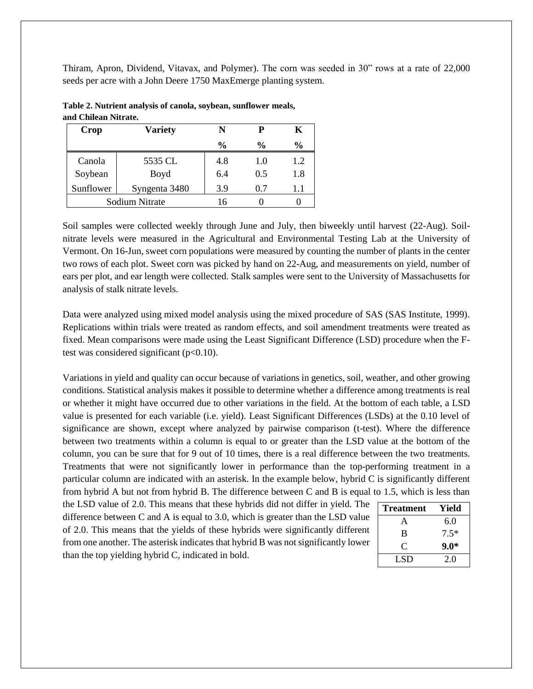Thiram, Apron, Dividend, Vitavax, and Polymer). The corn was seeded in 30" rows at a rate of 22,000 seeds per acre with a John Deere 1750 MaxEmerge planting system.

| <b>Variety</b><br>Crop |               | N             | P             | K             |
|------------------------|---------------|---------------|---------------|---------------|
|                        |               | $\frac{6}{9}$ | $\frac{6}{9}$ | $\frac{0}{0}$ |
| Canola                 | 5535 CL       | 4.8           | 1.0           | 1.2           |
| Soybean                | Boyd          | 6.4           | 0.5           | 1.8           |
| Sunflower              | Syngenta 3480 | 3.9           | 0.7           | $1.1\,$       |
| Sodium Nitrate         |               | 16            |               |               |

**Table 2. Nutrient analysis of canola, soybean, sunflower meals, and Chilean Nitrate.**

Soil samples were collected weekly through June and July, then biweekly until harvest (22-Aug). Soilnitrate levels were measured in the Agricultural and Environmental Testing Lab at the University of Vermont. On 16-Jun, sweet corn populations were measured by counting the number of plants in the center two rows of each plot. Sweet corn was picked by hand on 22-Aug, and measurements on yield, number of ears per plot, and ear length were collected. Stalk samples were sent to the University of Massachusetts for analysis of stalk nitrate levels.

Data were analyzed using mixed model analysis using the mixed procedure of SAS (SAS Institute, 1999). Replications within trials were treated as random effects, and soil amendment treatments were treated as fixed. Mean comparisons were made using the Least Significant Difference (LSD) procedure when the Ftest was considered significant  $(p<0.10)$ .

Variations in yield and quality can occur because of variations in genetics, soil, weather, and other growing conditions. Statistical analysis makes it possible to determine whether a difference among treatments is real or whether it might have occurred due to other variations in the field. At the bottom of each table, a LSD value is presented for each variable (i.e. yield). Least Significant Differences (LSDs) at the 0.10 level of significance are shown, except where analyzed by pairwise comparison (t-test). Where the difference between two treatments within a column is equal to or greater than the LSD value at the bottom of the column, you can be sure that for 9 out of 10 times, there is a real difference between the two treatments. Treatments that were not significantly lower in performance than the top-performing treatment in a particular column are indicated with an asterisk. In the example below, hybrid C is significantly different from hybrid A but not from hybrid B. The difference between C and B is equal to 1.5, which is less than

the LSD value of 2.0. This means that these hybrids did not differ in yield. The difference between C and A is equal to 3.0, which is greater than the LSD value of 2.0. This means that the yields of these hybrids were significantly different from one another. The asterisk indicates that hybrid B was not significantly lower than the top yielding hybrid C, indicated in bold.

| <b>Treatment</b> | Yield  |
|------------------|--------|
| A                | 6.0    |
| B                | $7.5*$ |
| C                | $9.0*$ |
| LSD.             | 2.0    |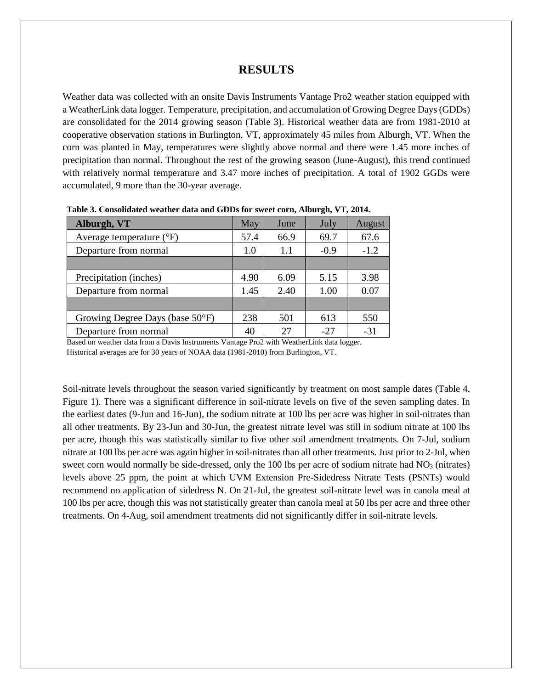### **RESULTS**

Weather data was collected with an onsite Davis Instruments Vantage Pro2 weather station equipped with a WeatherLink data logger. Temperature, precipitation, and accumulation of Growing Degree Days (GDDs) are consolidated for the 2014 growing season (Table 3). Historical weather data are from 1981-2010 at cooperative observation stations in Burlington, VT, approximately 45 miles from Alburgh, VT. When the corn was planted in May, temperatures were slightly above normal and there were 1.45 more inches of precipitation than normal. Throughout the rest of the growing season (June-August), this trend continued with relatively normal temperature and 3.47 more inches of precipitation. A total of 1902 GGDs were accumulated, 9 more than the 30-year average.

| Alburgh, VT                         | May  | June | July   | August |
|-------------------------------------|------|------|--------|--------|
| Average temperature $({}^{\circ}F)$ | 57.4 | 66.9 | 69.7   | 67.6   |
| Departure from normal               | 1.0  | 1.1  | $-0.9$ | $-1.2$ |
|                                     |      |      |        |        |
| Precipitation (inches)              | 4.90 | 6.09 | 5.15   | 3.98   |
| Departure from normal               | 1.45 | 2.40 | 1.00   | 0.07   |
|                                     |      |      |        |        |
| Growing Degree Days (base 50°F)     | 238  | 501  | 613    | 550    |
| Departure from normal               | 40   | 27   | $-27$  | $-31$  |

**Table 3. Consolidated weather data and GDDs for sweet corn, Alburgh, VT, 2014.**

Based on weather data from a Davis Instruments Vantage Pro2 with WeatherLink data logger. Historical averages are for 30 years of NOAA data (1981-2010) from Burlington, VT.

Soil-nitrate levels throughout the season varied significantly by treatment on most sample dates (Table 4, Figure 1). There was a significant difference in soil-nitrate levels on five of the seven sampling dates. In the earliest dates (9-Jun and 16-Jun), the sodium nitrate at 100 lbs per acre was higher in soil-nitrates than all other treatments. By 23-Jun and 30-Jun, the greatest nitrate level was still in sodium nitrate at 100 lbs per acre, though this was statistically similar to five other soil amendment treatments. On 7-Jul, sodium nitrate at 100 lbs per acre was again higher in soil-nitrates than all other treatments. Just prior to 2-Jul, when sweet corn would normally be side-dressed, only the 100 lbs per acre of sodium nitrate had  $NO<sub>3</sub>$  (nitrates) levels above 25 ppm, the point at which UVM Extension Pre-Sidedress Nitrate Tests (PSNTs) would recommend no application of sidedress N. On 21-Jul, the greatest soil-nitrate level was in canola meal at 100 lbs per acre, though this was not statistically greater than canola meal at 50 lbs per acre and three other treatments. On 4-Aug, soil amendment treatments did not significantly differ in soil-nitrate levels.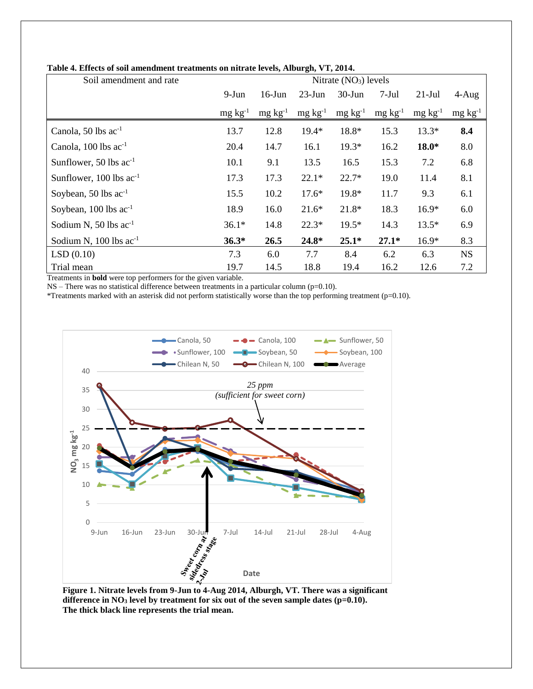| Soil amendment and rate            | Nitrate $(NO3)$ levels |                 |                 |                 |                 |                 |                 |
|------------------------------------|------------------------|-----------------|-----------------|-----------------|-----------------|-----------------|-----------------|
|                                    | $9-Jun$                | $16$ -Jun       | $23$ -Jun       | $30-J$ un       | $7-Jul$         | $21-Jul$        | $4-Aug$         |
|                                    | $mg \, kg^{-1}$        | $mg \, kg^{-1}$ | $mg \, kg^{-1}$ | $mg \, kg^{-1}$ | $mg \, kg^{-1}$ | $mg \, kg^{-1}$ | $mg \, kg^{-1}$ |
| Canola, $50$ lbs $ac^{-1}$         | 13.7                   | 12.8            | $19.4*$         | 18.8*           | 15.3            | $13.3*$         | 8.4             |
| Canola, $100$ lbs ac <sup>-1</sup> | 20.4                   | 14.7            | 16.1            | $19.3*$         | 16.2            | $18.0*$         | 8.0             |
| Sunflower, 50 lbs $ac^{-1}$        | 10.1                   | 9.1             | 13.5            | 16.5            | 15.3            | 7.2             | 6.8             |
| Sunflower, 100 lbs $ac^{-1}$       | 17.3                   | 17.3            | $22.1*$         | $22.7*$         | 19.0            | 11.4            | 8.1             |
| Soybean, 50 lbs $ac^{-1}$          | 15.5                   | 10.2            | $17.6*$         | 19.8*           | 11.7            | 9.3             | 6.1             |
| Soybean, 100 lbs ac <sup>-1</sup>  | 18.9                   | 16.0            | $21.6*$         | 21.8*           | 18.3            | $16.9*$         | 6.0             |
| Sodium N, 50 lbs $ac^{-1}$         | $36.1*$                | 14.8            | $22.3*$         | $19.5*$         | 14.3            | $13.5*$         | 6.9             |
| Sodium N, $100$ lbs $ac^{-1}$      | $36.3*$                | 26.5            | 24.8*           | $25.1*$         | $27.1*$         | $16.9*$         | 8.3             |
| LSD(0.10)                          | 7.3                    | 6.0             | 7.7             | 8.4             | 6.2             | 6.3             | <b>NS</b>       |
| Trial mean                         | 19.7                   | 14.5            | 18.8            | 19.4            | 16.2            | 12.6            | 7.2             |

#### **Table 4. Effects of soil amendment treatments on nitrate levels, Alburgh, VT, 2014.**

Treatments in **bold** were top performers for the given variable.

 $NS$  – There was no statistical difference between treatments in a particular column ( $p=0.10$ ).

\*Treatments marked with an asterisk did not perform statistically worse than the top performing treatment (p=0.10).



**difference in NO<sup>3</sup> level by treatment for six out of the seven sample dates (p=0.10). The thick black line represents the trial mean.**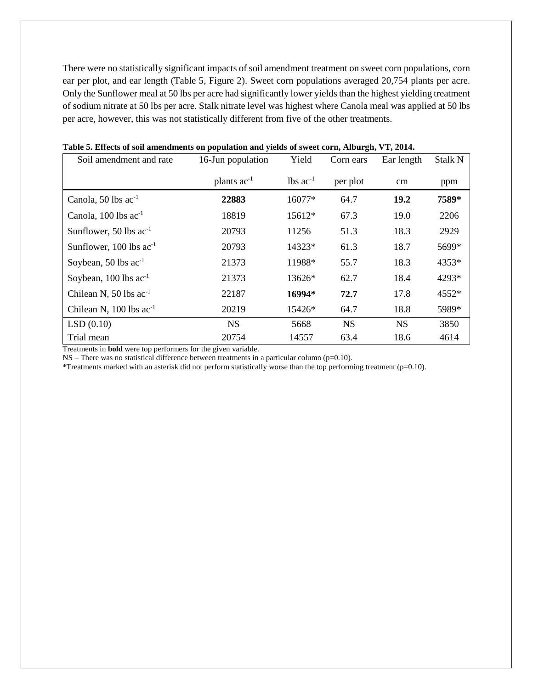There were no statistically significant impacts of soil amendment treatment on sweet corn populations, corn ear per plot, and ear length (Table 5, Figure 2). Sweet corn populations averaged 20,754 plants per acre. Only the Sunflower meal at 50 lbs per acre had significantly lower yields than the highest yielding treatment of sodium nitrate at 50 lbs per acre. Stalk nitrate level was highest where Canola meal was applied at 50 lbs per acre, however, this was not statistically different from five of the other treatments.

| Soil amendment and rate            | 16-Jun population | Yield                   | Corn ears | Ear length | <b>Stalk N</b> |
|------------------------------------|-------------------|-------------------------|-----------|------------|----------------|
|                                    | plants $ac^{-1}$  | $1b$ s ac <sup>-1</sup> | per plot  | cm         | ppm            |
| Canola, 50 lbs $ac^{-1}$           | 22883             | 16077*                  | 64.7      | 19.2       | 7589*          |
| Canola, $100$ lbs ac <sup>-1</sup> | 18819             | 15612*                  | 67.3      | 19.0       | 2206           |
| Sunflower, 50 lbs $ac^{-1}$        | 20793             | 11256                   | 51.3      | 18.3       | 2929           |
| Sunflower, $100$ lbs $ac^{-1}$     | 20793             | 14323*                  | 61.3      | 18.7       | 5699*          |
| Soybean, 50 lbs $ac^{-1}$          | 21373             | 11988*                  | 55.7      | 18.3       | 4353*          |
| Soybean, $100$ lbs $ac^{-1}$       | 21373             | 13626*                  | 62.7      | 18.4       | 4293*          |
| Chilean N, 50 lbs $ac^{-1}$        | 22187             | 16994*                  | 72.7      | 17.8       | 4552*          |
| Chilean N, $100$ lbs $ac^{-1}$     | 20219             | 15426*                  | 64.7      | 18.8       | 5989*          |
| LSD(0.10)                          | <b>NS</b>         | 5668                    | <b>NS</b> | <b>NS</b>  | 3850           |
| Trial mean                         | 20754             | 14557                   | 63.4      | 18.6       | 4614           |

#### **Table 5. Effects of soil amendments on population and yields of sweet corn, Alburgh, VT, 2014.**

Treatments in **bold** were top performers for the given variable.

 $NS$  – There was no statistical difference between treatments in a particular column ( $p=0.10$ ).

\*Treatments marked with an asterisk did not perform statistically worse than the top performing treatment (p=0.10).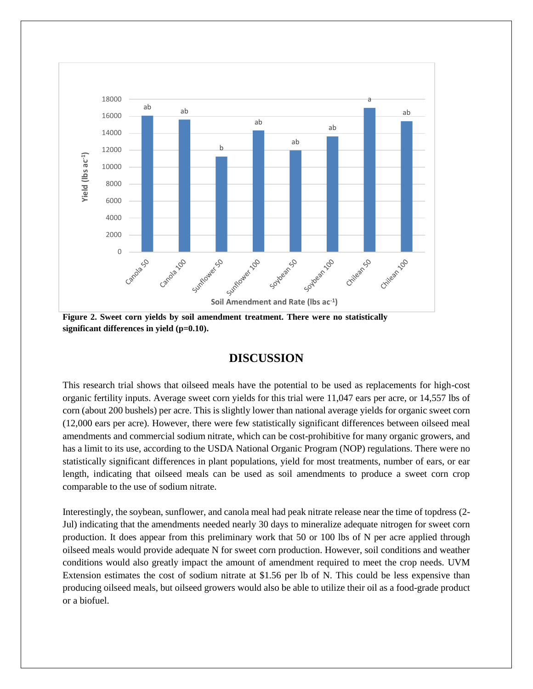

**Figure 2. Sweet corn yields by soil amendment treatment. There were no statistically significant differences in yield (p=0.10).**

## **DISCUSSION**

This research trial shows that oilseed meals have the potential to be used as replacements for high-cost organic fertility inputs. Average sweet corn yields for this trial were 11,047 ears per acre, or 14,557 lbs of corn (about 200 bushels) per acre. This is slightly lower than national average yields for organic sweet corn (12,000 ears per acre). However, there were few statistically significant differences between oilseed meal amendments and commercial sodium nitrate, which can be cost-prohibitive for many organic growers, and has a limit to its use, according to the USDA National Organic Program (NOP) regulations. There were no statistically significant differences in plant populations, yield for most treatments, number of ears, or ear length, indicating that oilseed meals can be used as soil amendments to produce a sweet corn crop comparable to the use of sodium nitrate.

Interestingly, the soybean, sunflower, and canola meal had peak nitrate release near the time of topdress (2- Jul) indicating that the amendments needed nearly 30 days to mineralize adequate nitrogen for sweet corn production. It does appear from this preliminary work that 50 or 100 lbs of N per acre applied through oilseed meals would provide adequate N for sweet corn production. However, soil conditions and weather conditions would also greatly impact the amount of amendment required to meet the crop needs. UVM Extension estimates the cost of sodium nitrate at \$1.56 per lb of N. This could be less expensive than producing oilseed meals, but oilseed growers would also be able to utilize their oil as a food-grade product or a biofuel.